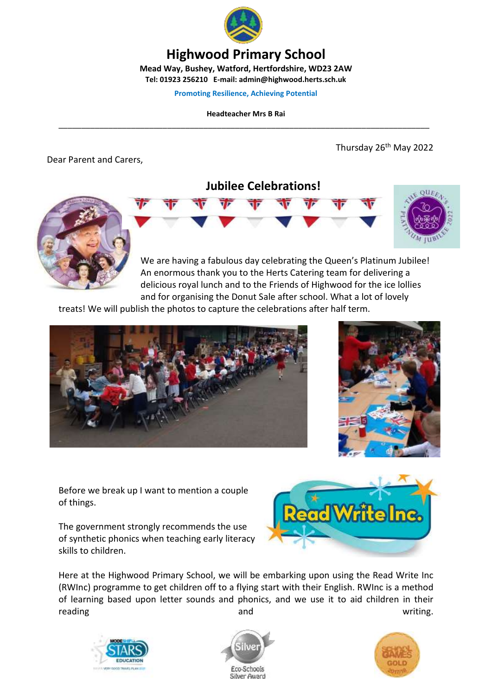

## **Highwood Primary School**

**Mead Way, Bushey, Watford, Hertfordshire, WD23 2AW Tel: 01923 256210 E-mail: admin@highwood.herts.sch.uk**

**Promoting Resilience, Achieving Potential**

**Headteacher Mrs B Rai** \_\_\_\_\_\_\_\_\_\_\_\_\_\_\_\_\_\_\_\_\_\_\_\_\_\_\_\_\_\_\_\_\_\_\_\_\_\_\_\_\_\_\_\_\_\_\_\_\_\_\_\_\_\_\_\_\_\_\_\_\_\_\_\_\_\_\_\_\_\_\_\_\_\_\_\_\_\_\_\_\_\_

Dear Parent and Carers,

Thursday 26<sup>th</sup> May 2022



**Jubilee Celebrations!**

We are having a fabulous day celebrating the Queen's Platinum Jubilee! An enormous thank you to the Herts Catering team for delivering a delicious royal lunch and to the Friends of Highwood for the ice lollies and for organising the Donut Sale after school. What a lot of lovely

treats! We will publish the photos to capture the celebrations after half term.





Before we break up I want to mention a couple of things.

The government strongly recommends the use of synthetic phonics when teaching early literacy skills to children.



Here at the Highwood Primary School, we will be embarking upon using the Read Write Inc (RWInc) programme to get children off to a flying start with their English. RWInc is a method of learning based upon letter sounds and phonics, and we use it to aid children in their reading and and the contribution of the contribution of the contribution of the contribution of the contributio